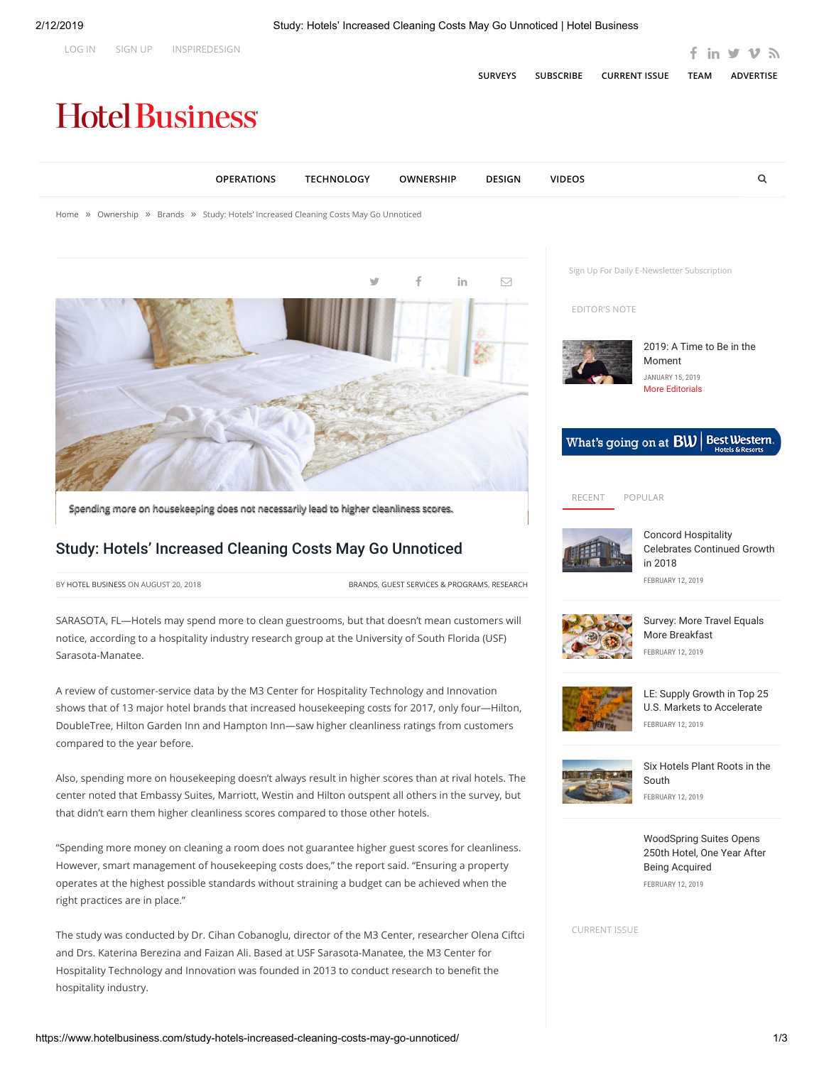

hospitality industry.

Hospitality Technology and Innovation was founded in 2013 to conduct research to benefit the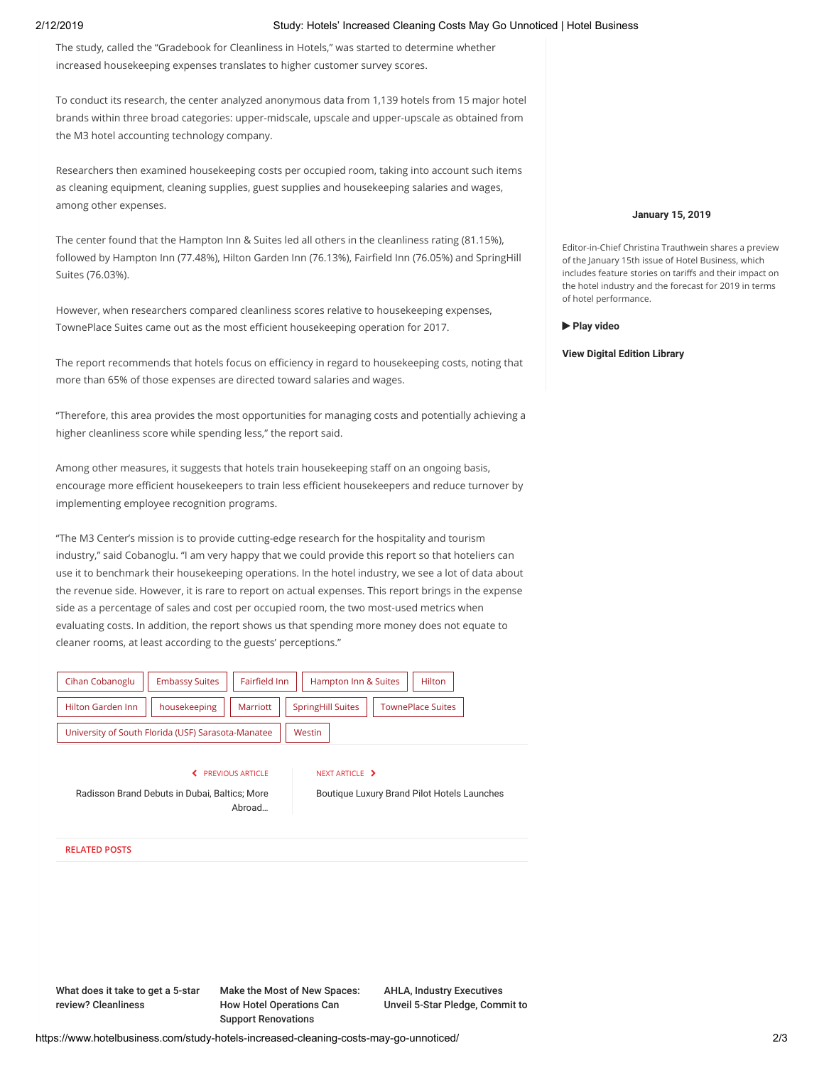## 2/12/2019 Study: Hotels' Increased Cleaning Costs May Go Unnoticed | Hotel Business

The study, called the "Gradebook for Cleanliness in Hotels," was started to determine whether increased housekeeping expenses translates to higher customer survey scores.

To conduct its research, the center analyzed anonymous data from 1,139 hotels from 15 major hotel brands within three broad categories: upper-midscale, upscale and upper-upscale as obtained from the M3 hotel accounting technology company.

Researchers then examined housekeeping costs per occupied room, taking into account such items as cleaning equipment, cleaning supplies, guest supplies and housekeeping salaries and wages, among other expenses.

The center found that the Hampton Inn & Suites led all others in the cleanliness rating (81.15%), followed by Hampton Inn (77.48%), Hilton Garden Inn (76.13%), Fairfield Inn (76.05%) and SpringHill Suites (76.03%).

However, when researchers compared cleanliness scores relative to housekeeping expenses, TownePlace Suites came out as the most efficient housekeeping operation for 2017.

The report recommends that hotels focus on efficiency in regard to housekeeping costs, noting that more than 65% of those expenses are directed toward salaries and wages.

"Therefore, this area provides the most opportunities for managing costs and potentially achieving a higher cleanliness score while spending less," the report said.

Among other measures, it suggests that hotels train housekeeping staff on an ongoing basis, encourage more efficient housekeepers to train less efficient housekeepers and reduce turnover by implementing employee recognition programs.

"The M3 Center's mission is to provide cutting-edge research for the hospitality and tourism industry," said Cobanoglu. "I am very happy that we could provide this report so that hoteliers can use it to benchmark their housekeeping operations. In the hotel industry, we see a lot of data about the revenue side. However, it is rare to report on actual expenses. This report brings in the expense side as a percentage of sales and cost per occupied room, the two most-used metrics when evaluating costs. In addition, the report shows us that spending more money does not equate to cleaner rooms, at least according to the guests' perceptions."



**S** PREVIOUS ARTICLE

### NEXT ARTICLE >

[Radisson Brand Debuts in Dubai, Baltics; More](https://www.hotelbusiness.com/radisson-brand-debuts-in-dubai-baltics-more-abroad/) Abroad…

[Boutique Luxury Brand Pilot Hotels Launches](https://www.hotelbusiness.com/boutique-luxury-brand-pilot-hotels-launches/)

# **RELATED POSTS**

[What does it take to get a 5-star](https://www.hotelbusiness.com/what-does-it-take-to-get-a-5-star-review-cleanliness/) review? Cleanliness

[Make the Most of New Spaces:](https://www.hotelbusiness.com/make-the-most-of-new-spaces-how-hotel-operations-can-support-renovations/) How Hotel Operations Can Support Renovations

AHLA, Industry Executives [Unveil 5-Star Pledge, Commit to](https://www.hotelbusiness.com/ahla-industry-executives-unveil-5-star-pledge-commit-to-added-safety-measures-for-employees/)

### **[January 15, 2019](https://togo.hotelbusiness.com/)**

Editor-in-Chief Christina Trauthwein shares a preview of the January 15th issue of Hotel Business, which includes feature stories on tariffs and their impact on the hotel industry and the forecast for 2019 in terms of hotel performance.

 **[Play video](https://www.hotelbusiness.com/video/hot-off-the-press-january-15-2019/)**

#### **[View Digital Edition Library](https://togo.hotelbusiness.com/past-issues/)**